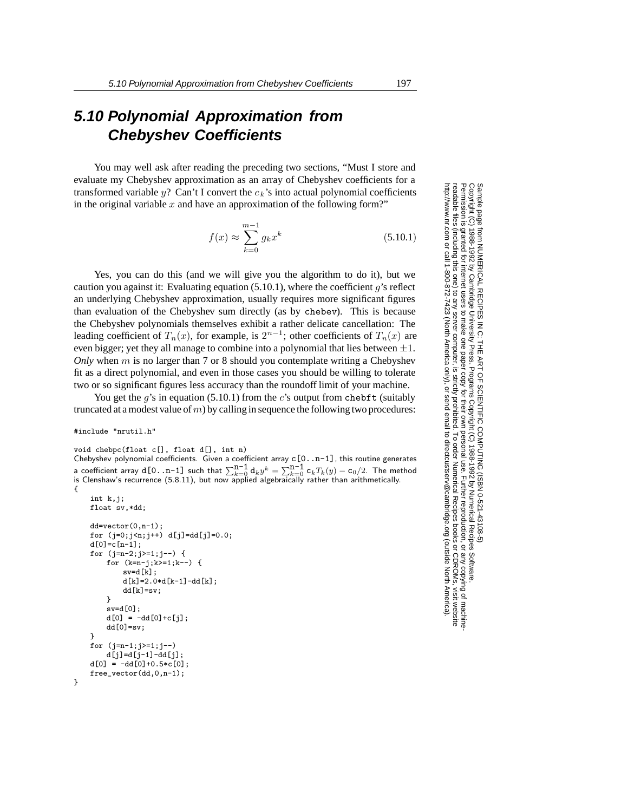## **5.10 Polynomial Approximation from Chebyshev Coefficients**

You may well ask after reading the preceding two sections, "Must I store and evaluate my Chebyshev approximation as an array of Chebyshev coefficients for a transformed variable  $y$ ? Can't I convert the  $c_k$ 's into actual polynomial coefficients in the original variable *x* and have an approximation of the following form?"

$$
f(x) \approx \sum_{k=0}^{m-1} g_k x^k
$$
 (5.10.1)

Yes, you can do this (and we will give you the algorithm to do it), but we caution you against it: Evaluating equation (5.10.1), where the coefficient *g*'s reflect an underlying Chebyshev approximation, usually requires more significant figures than evaluation of the Chebyshev sum directly (as by chebev). This is because the Chebyshev polynomials themselves exhibit a rather delicate cancellation: The leading coefficient of  $T_n(x)$ , for example, is  $2^{n-1}$ ; other coefficients of  $T_n(x)$  are even bigger; yet they all manage to combine into a polynomial that lies between  $\pm 1$ . *Only* when *m* is no larger than 7 or 8 should you contemplate writing a Chebyshev fit as a direct polynomial, and even in those cases you should be willing to tolerate two or so significant figures less accuracy than the roundoff limit of your machine.

You get the *q*'s in equation (5.10.1) from the *c*'s output from chebft (suitably truncated at a modest value of *m*) by calling in sequence the following two procedures:

## #include "nrutil.h"

}

```
void chebpc(float c[], float d[], int n)
Chebyshev polynomial coefficients. Given a coefficient array c[0..n-1], this routine generates
a coefficient array d[0...n-1] such that \sum_{k=0}^{\infty} \frac{1}{k} d_k y^k = \sum_{k=0}^{\infty} \frac{1}{k} \frac{1}{k} \left( y^k - \frac{1}{k} \frac{1}{k} \left( y^k - \frac{1}{k} \right) \right) - \frac{1}{k} \left( \frac{1}{k} \right)^k<br>is Clenshaw's recurrence (5.8.11) but now annied algebraically 
is Clenshaw's recurrence (5.8.11), but now applied algebraically rather than arithmetically.
{
```

```
int k,j;
float sv,*dd;
dd=vector(0,n-1);
for (j=0; j \le n; j++) d[j]=dd[j]=0.0;
d[0] = c[n-1];
for (j=n-2;j>=1;j--) {
    for (k=n-j;k>=1;k--) {
       sv=d[k];
        d[k]=2.0*d[k-1]-dd[k];
       dd[k]=sv;
    }
    sv=d[0];
   d[0] = -dd[0] + c[j];dd[0]=sv;
}
for (j=n-1;j>=1;j--)d[j]=d[j-1]-dd[j];
d[0] = -dd[0]+0.5*c[0];free_vector(dd,0,n-1);
```
Permission is granted for internet users to make one paper copy for their own personal use. Further reproduction, or any copyin Copyright (C) 1988-1992 by Cambridge University Press.Programs Copyright (C) 1988-1992 by Numerical Recipes Software. Sample page from NUMERICAL RECIPES IN C: THE ART OF SCIENTIFIC COMPUTING (ISBN 0-521-43108-5) g of machinereadable files (including this one) to any servercomputer, is strictly prohibited. To order Numerical Recipes booksor CDROMs, visit website http://www.nr.com or call 1-800-872-7423 (North America only),or send email to directcustserv@cambridge.org (outside North America).